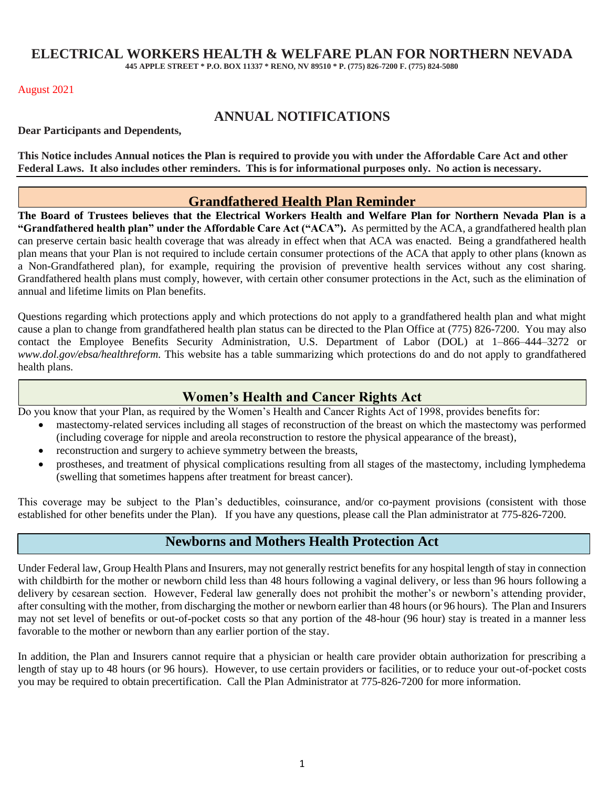# **ELECTRICAL WORKERS HEALTH & WELFARE PLAN FOR NORTHERN NEVADA**

**445 APPLE STREET \* P.O. BOX 11337 \* RENO, NV 89510 \* P. (775) 826-7200 F. (775) 824-5080**

#### August 2021

# **ANNUAL NOTIFICATIONS**

**Dear Participants and Dependents,**

**This Notice includes Annual notices the Plan is required to provide you with under the Affordable Care Act and other Federal Laws. It also includes other reminders. This is for informational purposes only. No action is necessary.**

#### **Grandfathered Health Plan Reminder**

**The Board of Trustees believes that the Electrical Workers Health and Welfare Plan for Northern Nevada Plan is a "Grandfathered health plan" under the Affordable Care Act ("ACA").** As permitted by the ACA, a grandfathered health plan can preserve certain basic health coverage that was already in effect when that ACA was enacted. Being a grandfathered health plan means that your Plan is not required to include certain consumer protections of the ACA that apply to other plans (known as a Non-Grandfathered plan), for example, requiring the provision of preventive health services without any cost sharing. Grandfathered health plans must comply, however, with certain other consumer protections in the Act, such as the elimination of annual and lifetime limits on Plan benefits.

Questions regarding which protections apply and which protections do not apply to a grandfathered health plan and what might cause a plan to change from grandfathered health plan status can be directed to the Plan Office at (775) 826-7200. You may also contact the Employee Benefits Security Administration, U.S. Department of Labor (DOL) at 1-866-444-3272 or *www.dol.gov/ebsa/healthreform.* This website has a table summarizing which protections do and do not apply to grandfathered health plans.

### **Women's Health and Cancer Rights Act**

Do you know that your Plan, as required by the Women's Health and Cancer Rights Act of 1998, provides benefits for:

- mastectomy-related services including all stages of reconstruction of the breast on which the mastectomy was performed (including coverage for nipple and areola reconstruction to restore the physical appearance of the breast),
- reconstruction and surgery to achieve symmetry between the breasts,
- prostheses, and treatment of physical complications resulting from all stages of the mastectomy, including lymphedema (swelling that sometimes happens after treatment for breast cancer).

This coverage may be subject to the Plan's deductibles, coinsurance, and/or co-payment provisions (consistent with those established for other benefits under the Plan). If you have any questions, please call the Plan administrator at 775-826-7200.

#### **Newborns and Mothers Health Protection Act**

Under Federal law, Group Health Plans and Insurers, may not generally restrict benefits for any hospital length of stay in connection with childbirth for the mother or newborn child less than 48 hours following a vaginal delivery, or less than 96 hours following a delivery by cesarean section. However, Federal law generally does not prohibit the mother's or newborn's attending provider, after consulting with the mother, from discharging the mother or newborn earlier than 48 hours (or 96 hours). The Plan and Insurers may not set level of benefits or out-of-pocket costs so that any portion of the 48-hour (96 hour) stay is treated in a manner less favorable to the mother or newborn than any earlier portion of the stay.

In addition, the Plan and Insurers cannot require that a physician or health care provider obtain authorization for prescribing a length of stay up to 48 hours (or 96 hours). However, to use certain providers or facilities, or to reduce your out-of-pocket costs you may be required to obtain precertification. Call the Plan Administrator at 775-826-7200 for more information.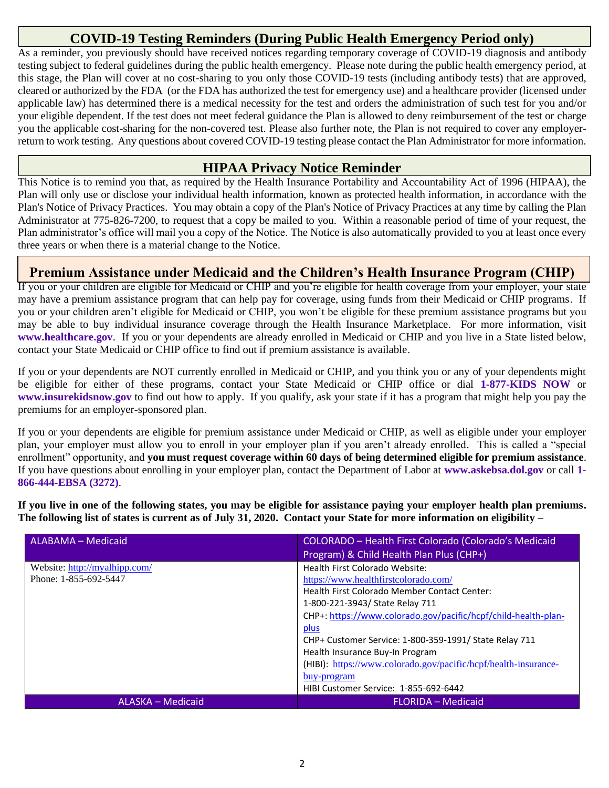## **COVID-19 Testing Reminders (During Public Health Emergency Period only)**

As a reminder, you previously should have received notices regarding temporary coverage of COVID-19 diagnosis and antibody testing subject to federal guidelines during the public health emergency. Please note during the public health emergency period, at this stage, the Plan will cover at no cost-sharing to you only those COVID-19 tests (including antibody tests) that are approved, cleared or authorized by the FDA (or the FDA has authorized the test for emergency use) and a healthcare provider (licensed under applicable law) has determined there is a medical necessity for the test and orders the administration of such test for you and/or your eligible dependent. If the test does not meet federal guidance the Plan is allowed to deny reimbursement of the test or charge you the applicable cost-sharing for the non-covered test. Please also further note, the Plan is not required to cover any employerreturn to work testing. Any questions about covered COVID-19 testing please contact the Plan Administrator for more information.

### **HIPAA Privacy Notice Reminder**

This Notice is to remind you that, as required by the Health Insurance Portability and Accountability Act of 1996 (HIPAA), the Plan will only use or disclose your individual health information, known as protected health information, in accordance with the Plan's Notice of Privacy Practices. You may obtain a copy of the Plan's Notice of Privacy Practices at any time by calling the Plan Administrator at 775-826-7200, to request that a copy be mailed to you. Within a reasonable period of time of your request, the Plan administrator's office will mail you a copy of the Notice. The Notice is also automatically provided to you at least once every three years or when there is a material change to the Notice.

## **Premium Assistance under Medicaid and the Children's Health Insurance Program (CHIP)**

If you or your children are eligible for Medicaid or CHIP and you're eligible for health coverage from your employer, your state may have a premium assistance program that can help pay for coverage, using funds from their Medicaid or CHIP programs. If you or your children aren't eligible for Medicaid or CHIP, you won't be eligible for these premium assistance programs but you may be able to buy individual insurance coverage through the Health Insurance Marketplace. For more information, visit **[www.healthcare.gov](http://www.healthcare.gov/)**. If you or your dependents are already enrolled in Medicaid or CHIP and you live in a State listed below, contact your State Medicaid or CHIP office to find out if premium assistance is available.

If you or your dependents are NOT currently enrolled in Medicaid or CHIP, and you think you or any of your dependents might be eligible for either of these programs, contact your State Medicaid or CHIP office or dial **1-877-KIDS NOW** or **[www.insurekidsnow.gov](http://www.insurekidsnow.gov/)** to find out how to apply. If you qualify, ask your state if it has a program that might help you pay the premiums for an employer-sponsored plan.

If you or your dependents are eligible for premium assistance under Medicaid or CHIP, as well as eligible under your employer plan, your employer must allow you to enroll in your employer plan if you aren't already enrolled. This is called a "special enrollment" opportunity, and **you must request coverage within 60 days of being determined eligible for premium assistance**. If you have questions about enrolling in your employer plan, contact the Department of Labor at **[www.askebsa.dol.gov](http://www.askebsa.dol.gov/)** or call **1- 866-444-EBSA (3272)**.

**If you live in one of the following states, you may be eligible for assistance paying your employer health plan premiums. The following list of states is current as of July 31, 2020. Contact your State for more information on eligibility –**

| <b>ALABAMA - Medicaid</b>                              | COLORADO - Health First Colorado (Colorado's Medicaid<br>Program) & Child Health Plan Plus (CHP+)                                                                                                                                                                                                                                                                                                                                                           |  |  |
|--------------------------------------------------------|-------------------------------------------------------------------------------------------------------------------------------------------------------------------------------------------------------------------------------------------------------------------------------------------------------------------------------------------------------------------------------------------------------------------------------------------------------------|--|--|
| Website: http://myalhipp.com/<br>Phone: 1-855-692-5447 | Health First Colorado Website:<br>https://www.healthfirstcolorado.com/<br>Health First Colorado Member Contact Center:<br>1-800-221-3943/ State Relay 711<br>CHP+: https://www.colorado.gov/pacific/hcpf/child-health-plan-<br>plus<br>CHP+ Customer Service: 1-800-359-1991/ State Relay 711<br>Health Insurance Buy-In Program<br>(HIBI): https://www.colorado.gov/pacific/hcpf/health-insurance-<br>buy-program<br>HIBI Customer Service: 1-855-692-6442 |  |  |
| ALASKA - Medicaid                                      | <b>FLORIDA - Medicaid</b>                                                                                                                                                                                                                                                                                                                                                                                                                                   |  |  |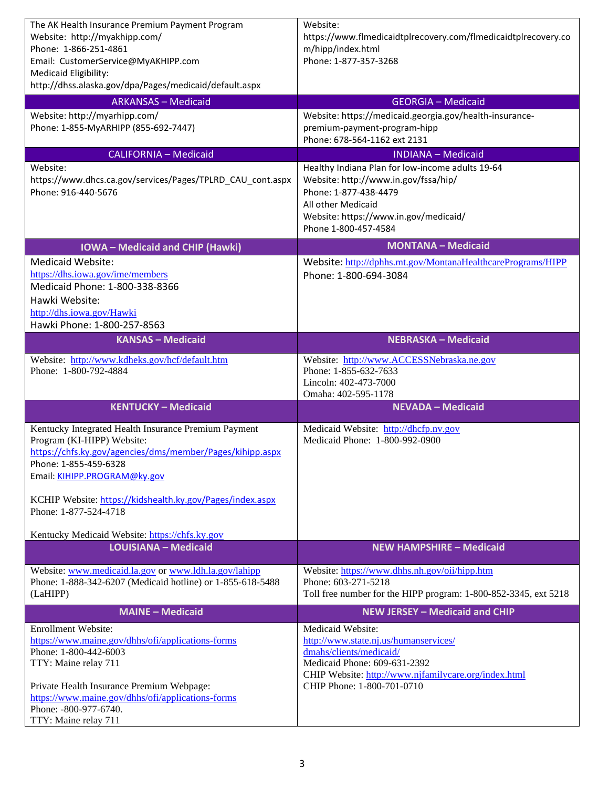| The AK Health Insurance Premium Payment Program                                                | Website:                                                                                |  |  |
|------------------------------------------------------------------------------------------------|-----------------------------------------------------------------------------------------|--|--|
| Website: http://myakhipp.com/                                                                  | https://www.flmedicaidtplrecovery.com/flmedicaidtplrecovery.co                          |  |  |
| Phone: 1-866-251-4861                                                                          | m/hipp/index.html                                                                       |  |  |
| Email: CustomerService@MyAKHIPP.com                                                            | Phone: 1-877-357-3268                                                                   |  |  |
| Medicaid Eligibility:<br>http://dhss.alaska.gov/dpa/Pages/medicaid/default.aspx                |                                                                                         |  |  |
|                                                                                                |                                                                                         |  |  |
| <b>ARKANSAS - Medicaid</b>                                                                     | <b>GEORGIA - Medicaid</b>                                                               |  |  |
| Website: http://myarhipp.com/<br>Phone: 1-855-MyARHIPP (855-692-7447)                          | Website: https://medicaid.georgia.gov/health-insurance-<br>premium-payment-program-hipp |  |  |
|                                                                                                | Phone: 678-564-1162 ext 2131                                                            |  |  |
| <b>CALIFORNIA - Medicaid</b>                                                                   | <b>INDIANA - Medicaid</b>                                                               |  |  |
| Website:                                                                                       | Healthy Indiana Plan for low-income adults 19-64                                        |  |  |
| https://www.dhcs.ca.gov/services/Pages/TPLRD_CAU_cont.aspx                                     | Website: http://www.in.gov/fssa/hip/                                                    |  |  |
| Phone: 916-440-5676                                                                            | Phone: 1-877-438-4479                                                                   |  |  |
|                                                                                                | All other Medicaid                                                                      |  |  |
|                                                                                                | Website: https://www.in.gov/medicaid/                                                   |  |  |
|                                                                                                | Phone 1-800-457-4584                                                                    |  |  |
| <b>IOWA-Medicaid and CHIP (Hawki)</b>                                                          | <b>MONTANA - Medicaid</b>                                                               |  |  |
| <b>Medicaid Website:</b>                                                                       | Website: http://dphhs.mt.gov/MontanaHealthcarePrograms/HIPP                             |  |  |
| https://dhs.iowa.gov/ime/members                                                               | Phone: 1-800-694-3084                                                                   |  |  |
| Medicaid Phone: 1-800-338-8366                                                                 |                                                                                         |  |  |
| Hawki Website:                                                                                 |                                                                                         |  |  |
| http://dhs.iowa.gov/Hawki<br>Hawki Phone: 1-800-257-8563                                       |                                                                                         |  |  |
| <b>KANSAS - Medicaid</b>                                                                       | <b>NEBRASKA - Medicaid</b>                                                              |  |  |
|                                                                                                |                                                                                         |  |  |
| Website: http://www.kdheks.gov/hcf/default.htm<br>Phone: 1-800-792-4884                        | Website: http://www.ACCESSNebraska.ne.gov<br>Phone: 1-855-632-7633                      |  |  |
|                                                                                                |                                                                                         |  |  |
|                                                                                                |                                                                                         |  |  |
|                                                                                                | Lincoln: 402-473-7000<br>Omaha: 402-595-1178                                            |  |  |
| <b>KENTUCKY - Medicaid</b>                                                                     | <b>NEVADA - Medicaid</b>                                                                |  |  |
|                                                                                                |                                                                                         |  |  |
| Kentucky Integrated Health Insurance Premium Payment<br>Program (KI-HIPP) Website:             | Medicaid Website: http://dhcfp.nv.gov<br>Medicaid Phone: 1-800-992-0900                 |  |  |
| https://chfs.ky.gov/agencies/dms/member/Pages/kihipp.aspx                                      |                                                                                         |  |  |
| Phone: 1-855-459-6328                                                                          |                                                                                         |  |  |
| Email: KIHIPP.PROGRAM@ky.gov                                                                   |                                                                                         |  |  |
|                                                                                                |                                                                                         |  |  |
| KCHIP Website: https://kidshealth.ky.gov/Pages/index.aspx<br>Phone: 1-877-524-4718             |                                                                                         |  |  |
|                                                                                                |                                                                                         |  |  |
| Kentucky Medicaid Website: https://chfs.ky.gov                                                 |                                                                                         |  |  |
| <b>LOUISIANA - Medicaid</b>                                                                    | <b>NEW HAMPSHIRE - Medicaid</b>                                                         |  |  |
| Website: www.medicaid.la.gov or www.ldh.la.gov/lahipp                                          | Website: https://www.dhhs.nh.gov/oii/hipp.htm                                           |  |  |
| Phone: 1-888-342-6207 (Medicaid hotline) or 1-855-618-5488                                     | Phone: 603-271-5218                                                                     |  |  |
| (LaHIPP)                                                                                       | Toll free number for the HIPP program: 1-800-852-3345, ext 5218                         |  |  |
| <b>MAINE - Medicaid</b>                                                                        | <b>NEW JERSEY - Medicaid and CHIP</b>                                                   |  |  |
| <b>Enrollment Website:</b>                                                                     | Medicaid Website:                                                                       |  |  |
| https://www.maine.gov/dhhs/ofi/applications-forms                                              | http://www.state.nj.us/humanservices/                                                   |  |  |
| Phone: 1-800-442-6003                                                                          | dmahs/clients/medicaid/                                                                 |  |  |
| TTY: Maine relay 711                                                                           | Medicaid Phone: 609-631-2392                                                            |  |  |
|                                                                                                | CHIP Website: http://www.njfamilycare.org/index.html<br>CHIP Phone: 1-800-701-0710      |  |  |
| Private Health Insurance Premium Webpage:<br>https://www.maine.gov/dhhs/ofi/applications-forms |                                                                                         |  |  |
| Phone: -800-977-6740.<br>TTY: Maine relay 711                                                  |                                                                                         |  |  |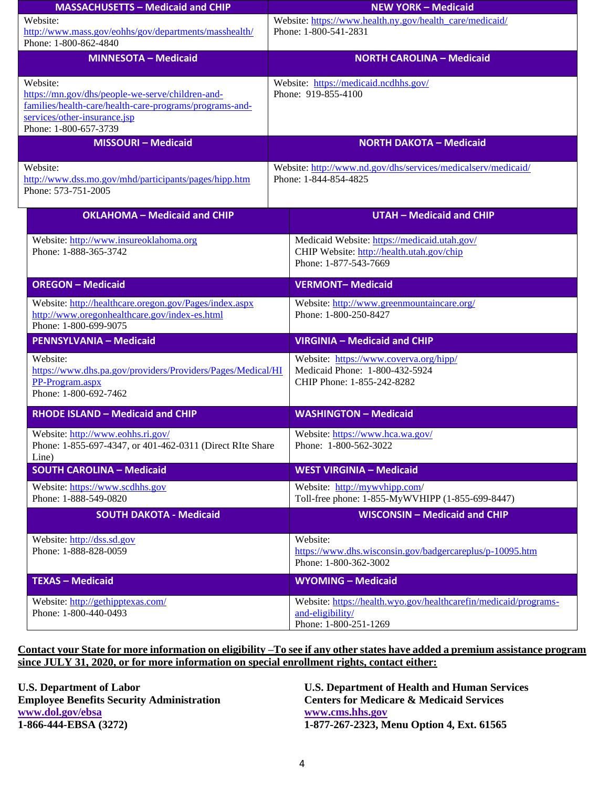| <b>MASSACHUSETTS - Medicaid and CHIP</b>                    | <b>NEW YORK - Medicaid</b>                                    |                                                                      |  |
|-------------------------------------------------------------|---------------------------------------------------------------|----------------------------------------------------------------------|--|
| Website:                                                    | Website: https://www.health.ny.gov/health_care/medicaid/      |                                                                      |  |
| http://www.mass.gov/eohhs/gov/departments/masshealth/       | Phone: 1-800-541-2831                                         |                                                                      |  |
| Phone: 1-800-862-4840                                       |                                                               |                                                                      |  |
| <b>MINNESOTA - Medicaid</b>                                 | <b>NORTH CAROLINA - Medicaid</b>                              |                                                                      |  |
| Website:                                                    | Website: https://medicaid.ncdhhs.gov/                         |                                                                      |  |
| https://mn.gov/dhs/people-we-serve/children-and-            | Phone: 919-855-4100                                           |                                                                      |  |
| families/health-care/health-care-programs/programs-and-     |                                                               |                                                                      |  |
| services/other-insurance.jsp                                |                                                               |                                                                      |  |
| Phone: 1-800-657-3739                                       |                                                               |                                                                      |  |
| <b>MISSOURI-Medicaid</b>                                    | <b>NORTH DAKOTA - Medicaid</b>                                |                                                                      |  |
| Website:                                                    | Website: http://www.nd.gov/dhs/services/medicalserv/medicaid/ |                                                                      |  |
| http://www.dss.mo.gov/mhd/participants/pages/hipp.htm       | Phone: 1-844-854-4825                                         |                                                                      |  |
| Phone: 573-751-2005                                         |                                                               |                                                                      |  |
|                                                             |                                                               |                                                                      |  |
| <b>OKLAHOMA - Medicaid and CHIP</b>                         | <b>UTAH - Medicaid and CHIP</b>                               |                                                                      |  |
| Website: http://www.insureoklahoma.org                      |                                                               | Medicaid Website: https://medicaid.utah.gov/                         |  |
| Phone: 1-888-365-3742                                       |                                                               | CHIP Website: http://health.utah.gov/chip                            |  |
|                                                             |                                                               | Phone: 1-877-543-7669                                                |  |
|                                                             |                                                               |                                                                      |  |
| <b>OREGON - Medicaid</b>                                    |                                                               | <b>VERMONT-Medicaid</b>                                              |  |
| Website: http://healthcare.oregon.gov/Pages/index.aspx      |                                                               | Website: http://www.greenmountaincare.org/                           |  |
| http://www.oregonhealthcare.gov/index-es.html               |                                                               | Phone: 1-800-250-8427                                                |  |
| Phone: 1-800-699-9075                                       |                                                               |                                                                      |  |
| <b>PENNSYLVANIA - Medicaid</b>                              |                                                               | <b>VIRGINIA - Medicaid and CHIP</b>                                  |  |
| Website:                                                    |                                                               | Website: https://www.coverva.org/hipp/                               |  |
| https://www.dhs.pa.gov/providers/Providers/Pages/Medical/HI |                                                               | Medicaid Phone: 1-800-432-5924                                       |  |
| PP-Program.aspx                                             |                                                               | CHIP Phone: 1-855-242-8282                                           |  |
| Phone: 1-800-692-7462                                       |                                                               |                                                                      |  |
|                                                             |                                                               | <b>WASHINGTON - Medicaid</b>                                         |  |
| <b>RHODE ISLAND - Medicaid and CHIP</b>                     |                                                               |                                                                      |  |
| Website: http://www.eohhs.ri.gov/                           |                                                               | Website: https://www.hca.wa.gov/                                     |  |
| Phone: 1-855-697-4347, or 401-462-0311 (Direct RIte Share   |                                                               | Phone: 1-800-562-3022                                                |  |
| Line)                                                       |                                                               |                                                                      |  |
| <b>SOUTH CAROLINA - Medicaid</b>                            |                                                               | <b>WEST VIRGINIA - Medicaid</b>                                      |  |
| Website: https://www.scdhhs.gov                             |                                                               | Website: http://mywvhipp.com/                                        |  |
| Phone: 1-888-549-0820                                       |                                                               | Toll-free phone: 1-855-MyWVHIPP (1-855-699-8447)                     |  |
| <b>SOUTH DAKOTA - Medicaid</b>                              |                                                               | <b>WISCONSIN - Medicaid and CHIP</b>                                 |  |
|                                                             |                                                               |                                                                      |  |
| Website: http://dss.sd.gov<br>Phone: 1-888-828-0059         |                                                               |                                                                      |  |
|                                                             |                                                               | Website:<br>https://www.dhs.wisconsin.gov/badgercareplus/p-10095.htm |  |
|                                                             |                                                               | Phone: 1-800-362-3002                                                |  |
| <b>TEXAS - Medicaid</b>                                     | <b>WYOMING - Medicaid</b>                                     |                                                                      |  |
|                                                             |                                                               |                                                                      |  |
| Website: http://gethipptexas.com/<br>Phone: 1-800-440-0493  |                                                               | Website: https://health.wyo.gov/healthcarefin/medicaid/programs-     |  |
|                                                             |                                                               | and-eligibility/<br>Phone: 1-800-251-1269                            |  |
|                                                             |                                                               |                                                                      |  |

#### **Contact your State for more information on eligibility –To see if any other states have added a premium assistance program**  since JULY 31, 2020, or for more information on special enrollment rights, contact either:

**Employee Benefits Security Administration Centers for Medicare & Medicaid Services [www.dol.gov/ebsa](http://www.dol.gov/ebsa) [www.cms.hhs.gov](http://www.cms.hhs.gov/)** 

**U.S. Department of Labor U.S. Department of Health and Human Services 1-866-444-EBSA (3272) 1-877-267-2323, Menu Option 4, Ext. 61565**